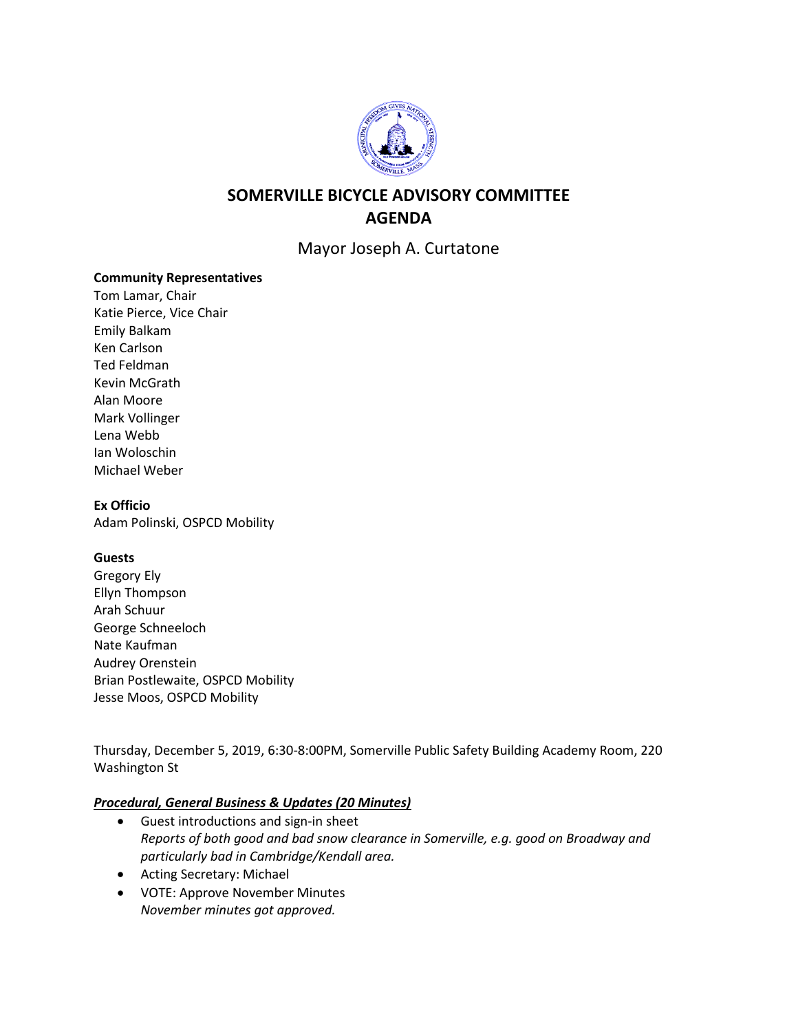

# **SOMERVILLE BICYCLE ADVISORY COMMITTEE AGENDA**

Mayor Joseph A. Curtatone

#### **Community Representatives**

Tom Lamar, Chair Katie Pierce, Vice Chair Emily Balkam Ken Carlson Ted Feldman Kevin McGrath Alan Moore Mark Vollinger Lena Webb Ian Woloschin Michael Weber

#### **Ex Officio**

Adam Polinski, OSPCD Mobility

## **Guests**

Gregory Ely Ellyn Thompson Arah Schuur George Schneeloch Nate Kaufman Audrey Orenstein Brian Postlewaite, OSPCD Mobility Jesse Moos, OSPCD Mobility

Thursday, December 5, 2019, 6:30-8:00PM, Somerville Public Safety Building Academy Room, 220 Washington St

## *Procedural, General Business & Updates (20 Minutes)*

- Guest introductions and sign-in sheet *Reports of both good and bad snow clearance in Somerville, e.g. good on Broadway and particularly bad in Cambridge/Kendall area.*
- Acting Secretary: Michael
- VOTE: Approve November Minutes *November minutes got approved.*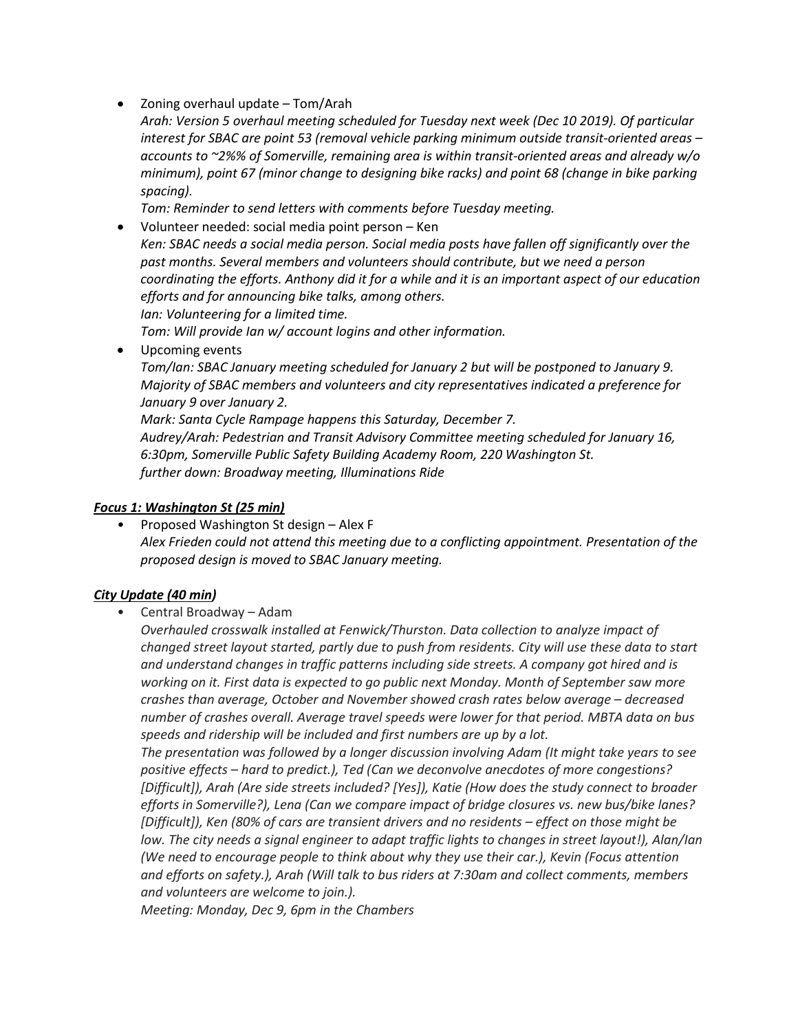- Zoning overhaul update Tom/Arah
	- *Arah: Version 5 overhaul meeting scheduled for Tuesday next week (Dec 10 2019). Of particular interest for SBAC are point 53 (removal vehicle parking minimum outside transit-oriented areas – accounts to ~2%% of Somerville, remaining area is within transit-oriented areas and already w/o minimum), point 67 (minor change to designing bike racks) and point 68 (change in bike parking spacing).*

*Tom: Reminder to send letters with comments before Tuesday meeting.*

• Volunteer needed: social media point person – Ken *Ken: SBAC needs a social media person. Social media posts have fallen off significantly over the past months. Several members and volunteers should contribute, but we need a person coordinating the efforts. Anthony did it for a while and it is an important aspect of our education efforts and for announcing bike talks, among others. Ian: Volunteering for a limited time.*

*Tom: Will provide Ian w/ account logins and other information.*

• Upcoming events

*Tom/Ian: SBAC January meeting scheduled for January 2 but will be postponed to January 9. Majority of SBAC members and volunteers and city representatives indicated a preference for January 9 over January 2.*

*Mark: Santa Cycle Rampage happens this Saturday, December 7. Audrey/Arah: Pedestrian and Transit Advisory Committee meeting scheduled for January 16, 6:30pm, Somerville Public Safety Building Academy Room, 220 Washington St. further down: Broadway meeting, Illuminations Ride*

#### *Focus 1: Washington St (25 min)*

• Proposed Washington St design – Alex F *Alex Frieden could not attend this meeting due to a conflicting appointment. Presentation of the proposed design is moved to SBAC January meeting.*

## *City Update (40 min)*

• Central Broadway – Adam

*Overhauled crosswalk installed at Fenwick/Thurston. Data collection to analyze impact of changed street layout started, partly due to push from residents. City will use these data to start and understand changes in traffic patterns including side streets. A company got hired and is working on it. First data is expected to go public next Monday. Month of September saw more crashes than average, October and November showed crash rates below average – decreased number of crashes overall. Average travel speeds were lower for that period. MBTA data on bus speeds and ridership will be included and first numbers are up by a lot.*

*The presentation was followed by a longer discussion involving Adam (It might take years to see positive effects – hard to predict.), Ted (Can we deconvolve anecdotes of more congestions? [Difficult]), Arah (Are side streets included? [Yes]), Katie (How does the study connect to broader efforts in Somerville?), Lena (Can we compare impact of bridge closures vs. new bus/bike lanes? [Difficult]), Ken (80% of cars are transient drivers and no residents – effect on those might be low. The city needs a signal engineer to adapt traffic lights to changes in street layout!), Alan/Ian (We need to encourage people to think about why they use their car.), Kevin (Focus attention and efforts on safety.), Arah (Will talk to bus riders at 7:30am and collect comments, members and volunteers are welcome to join.).*

*Meeting: Monday, Dec 9, 6pm in the Chambers*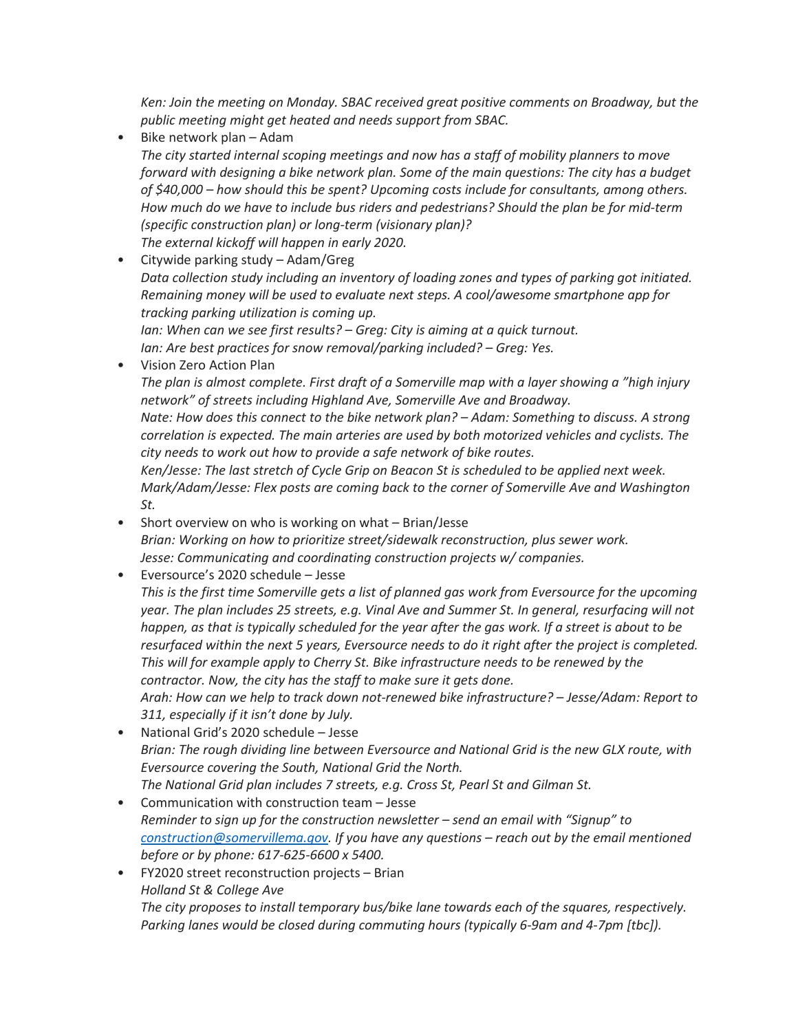*Ken: Join the meeting on Monday. SBAC received great positive comments on Broadway, but the public meeting might get heated and needs support from SBAC.*

- Bike network plan Adam *The city started internal scoping meetings and now has a staff of mobility planners to move forward with designing a bike network plan. Some of the main questions: The city has a budget of \$40,000 – how should this be spent? Upcoming costs include for consultants, among others. How much do we have to include bus riders and pedestrians? Should the plan be for mid-term (specific construction plan) or long-term (visionary plan)? The external kickoff will happen in early 2020.*
- Citywide parking study Adam/Greg *Data collection study including an inventory of loading zones and types of parking got initiated. Remaining money will be used to evaluate next steps. A cool/awesome smartphone app for tracking parking utilization is coming up. Ian: When can we see first results? – Greg: City is aiming at a quick turnout. Ian: Are best practices for snow removal/parking included? – Greg: Yes.*
- Vision Zero Action Plan

*The plan is almost complete. First draft of a Somerville map with a layer showing a "high injury network" of streets including Highland Ave, Somerville Ave and Broadway.*

*Nate: How does this connect to the bike network plan? – Adam: Something to discuss. A strong correlation is expected. The main arteries are used by both motorized vehicles and cyclists. The city needs to work out how to provide a safe network of bike routes.*

*Ken/Jesse: The last stretch of Cycle Grip on Beacon St is scheduled to be applied next week. Mark/Adam/Jesse: Flex posts are coming back to the corner of Somerville Ave and Washington St.*

- Short overview on who is working on what Brian/Jesse *Brian: Working on how to prioritize street/sidewalk reconstruction, plus sewer work. Jesse: Communicating and coordinating construction projects w/ companies.*
- Eversource's 2020 schedule Jesse

*This is the first time Somerville gets a list of planned gas work from Eversource for the upcoming year. The plan includes 25 streets, e.g. Vinal Ave and Summer St. In general, resurfacing will not happen, as that is typically scheduled for the year after the gas work. If a street is about to be resurfaced within the next 5 years, Eversource needs to do it right after the project is completed. This will for example apply to Cherry St. Bike infrastructure needs to be renewed by the contractor. Now, the city has the staff to make sure it gets done.*

*Arah: How can we help to track down not-renewed bike infrastructure? – Jesse/Adam: Report to 311, especially if it isn't done by July.*

- National Grid's 2020 schedule Jesse *Brian: The rough dividing line between Eversource and National Grid is the new GLX route, with Eversource covering the South, National Grid the North. The National Grid plan includes 7 streets, e.g. Cross St, Pearl St and Gilman St.*
- Communication with construction team Jesse *Reminder to sign up for the construction newsletter – send an email with "Signup" to [construction@somervillema.gov.](mailto:construction@somervillema.gov) If you have any questions – reach out by the email mentioned before or by phone: 617-625-6600 x 5400.*
- FY2020 street reconstruction projects Brian *Holland St & College Ave The city proposes to install temporary bus/bike lane towards each of the squares, respectively. Parking lanes would be closed during commuting hours (typically 6-9am and 4-7pm [tbc]).*